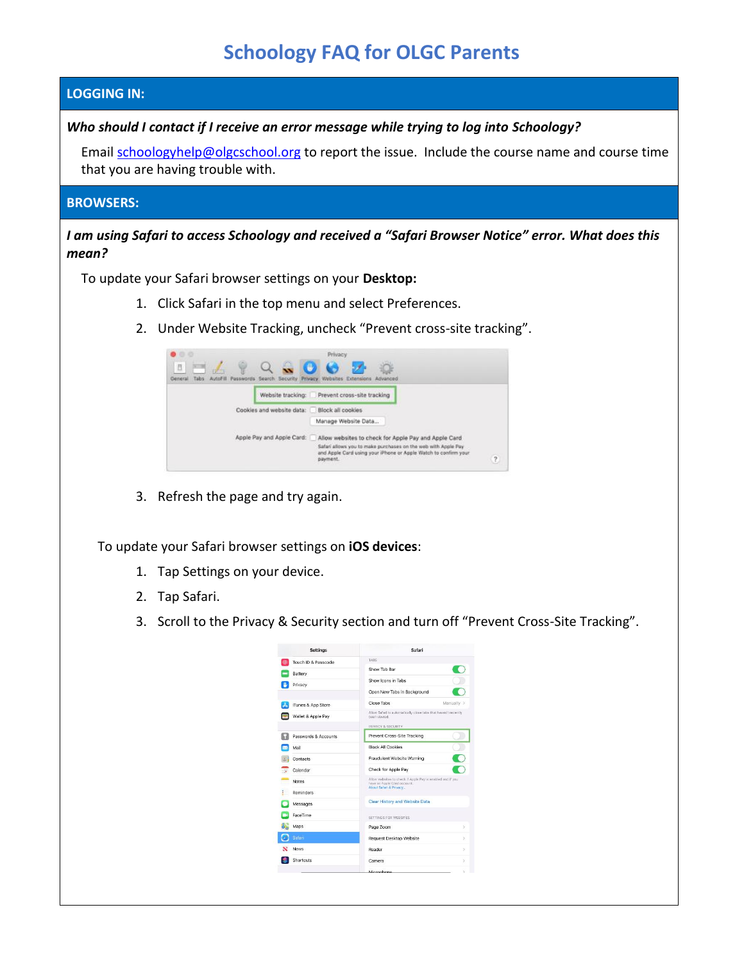# **Schoology FAQ for OLGC Parents**

## **LOGGING IN:**

## *Who should I contact if I receive an error message while trying to log into Schoology?*

Email [schoologyhelp@olgcschool.org](mailto:schoologyhelp@olgcschool.org) to report the issue. Include the course name and course time that you are having trouble with.

#### **BROWSERS:**

*I am using Safari to access Schoology and received a "Safari Browser Notice" error. What does this mean?*

To update your Safari browser settings on your **Desktop:**

- 1. Click Safari in the top menu and select Preferences.
- 2. Under Website Tracking, uncheck "Prevent cross-site tracking".

| 8.8<br>Ō<br>General<br>Tabs | Privacy<br>AutoFill Passwords Search Security Privacy Websites Extensions Advanced                                                                                                                                                     |
|-----------------------------|----------------------------------------------------------------------------------------------------------------------------------------------------------------------------------------------------------------------------------------|
|                             | Prevent cross-site tracking<br>Website tracking:                                                                                                                                                                                       |
|                             | Cookies and website data: Block all cookies                                                                                                                                                                                            |
|                             | Manage Website Data                                                                                                                                                                                                                    |
|                             | Apple Pay and Apple Card:<br>Allow websites to check for Apple Pay and Apple Card.<br>Safari allows you to make purchases on the web with Apple Pay<br>and Apple Card using your iPhone or Apple Watch to confirm your<br>2<br>payment |

3. Refresh the page and try again.

To update your Safari browser settings on **iOS devices**:

- 1. Tap Settings on your device.
- 2. Tap Safari.
- 3. Scroll to the Privacy & Security section and turn off "Prevent Cross-Site Tracking".

| <b>Settings</b>      | Safari                                                                                    |               |
|----------------------|-------------------------------------------------------------------------------------------|---------------|
| Touch ID & Passcode  | TARS                                                                                      |               |
| Battery              | Show Tab Bar                                                                              |               |
| Privacy              | Show Icons in Tabs                                                                        |               |
|                      | Open New Tabs in Background                                                               |               |
| iTunes & App Store   | Close Tabs<br>Manually >                                                                  |               |
| Wallet & Apple Pay   | Allow Safari to automatically close tabs that haven't recently<br>been viewed.            |               |
|                      | PRIVACY & SECURITY                                                                        |               |
| Passwords & Accounts | Prevent Cross-Site Tracking                                                               |               |
| Mail                 | <b>Block All Cookies</b>                                                                  |               |
| Contacts.            | Fraudulent Website Warning                                                                |               |
| Calendar             | Check for Apple Pay                                                                       |               |
| Notes                | Allow websites to check if Apple Pay is enabled and if you<br>have an Apole Card account. |               |
| Reminders            | About Safari & Privacy                                                                    |               |
| Messages             | Clear History and Website Data                                                            |               |
| FaceTime             | SETTINGS FOR WERSITES.                                                                    |               |
| Maps                 | Page Zoom                                                                                 | s             |
| Safari               | Request Desktop Website                                                                   | $\mathcal{P}$ |
| <b>News</b>          | Reader                                                                                    | S)            |
| Shortcuts            | Camera                                                                                    | $\mathbf{S}$  |
|                      | Micronhone                                                                                | v             |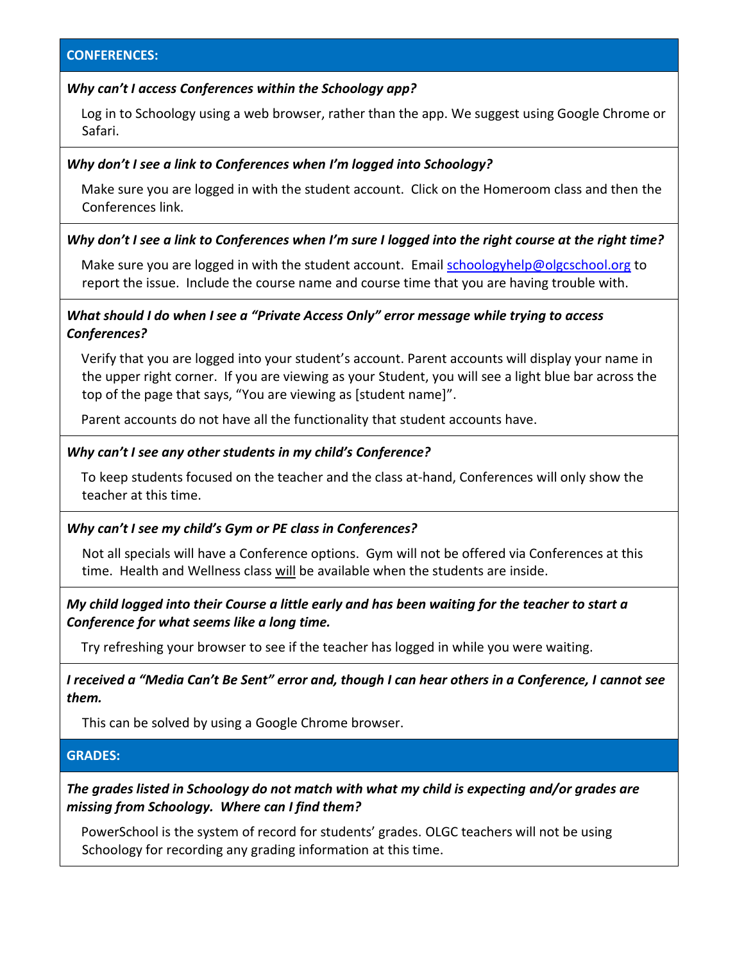## *Why can't I access Conferences within the Schoology app?*

Log in to Schoology using a web browser, rather than the app. We suggest using Google Chrome or Safari.

## *Why don't I see a link to Conferences when I'm logged into Schoology?*

Make sure you are logged in with the student account. Click on the Homeroom class and then the Conferences link.

### *Why don't I see a link to Conferences when I'm sure I logged into the right course at the right time?*

Make sure you are logged in with the student account. Email [schoologyhelp@olgcschool.org](mailto:schoologyhelp@olgcschool.org) to report the issue. Include the course name and course time that you are having trouble with.

## *What should I do when I see a "Private Access Only" error message while trying to access Conferences?*

Verify that you are logged into your student's account. Parent accounts will display your name in the upper right corner. If you are viewing as your Student, you will see a light blue bar across the top of the page that says, "You are viewing as [student name]".

Parent accounts do not have all the functionality that student accounts have.

### *Why can't I see any other students in my child's Conference?*

To keep students focused on the teacher and the class at-hand, Conferences will only show the teacher at this time.

#### *Why can't I see my child's Gym or PE class in Conferences?*

Not all specials will have a Conference options. Gym will not be offered via Conferences at this time. Health and Wellness class will be available when the students are inside.

# *My child logged into their Course a little early and has been waiting for the teacher to start a Conference for what seems like a long time.*

Try refreshing your browser to see if the teacher has logged in while you were waiting.

*I received a "Media Can't Be Sent" error and, though I can hear others in a Conference, I cannot see them.*

This can be solved by using a Google Chrome browser.

### **GRADES:**

*The grades listed in Schoology do not match with what my child is expecting and/or grades are missing from Schoology. Where can I find them?*

PowerSchool is the system of record for students' grades. OLGC teachers will not be using Schoology for recording any grading information at this time.